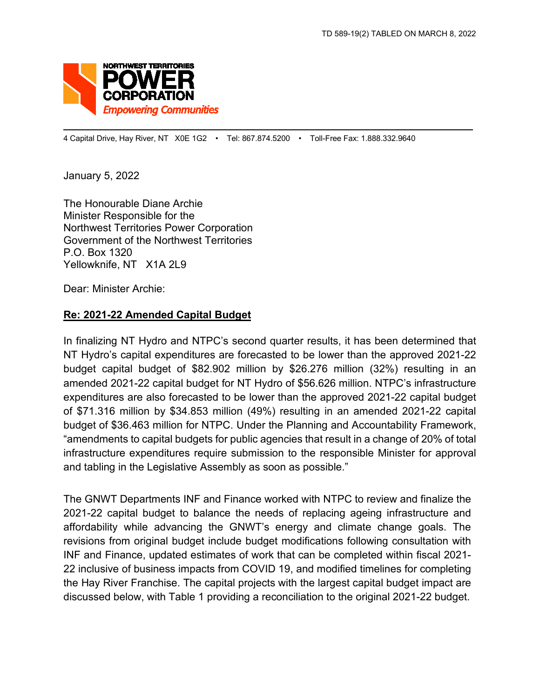

4 Capital Drive, Hay River, NT X0E 1G2 • Tel: 867.874.5200 • Toll-Free Fax: 1.888.332.9640

January 5, 2022

The Honourable Diane Archie Minister Responsible for the Northwest Territories Power Corporation Government of the Northwest Territories P.O. Box 1320 Yellowknife, NT X1A 2L9

Dear: Minister Archie:

#### **Re: 2021-22 Amended Capital Budget**

In finalizing NT Hydro and NTPC's second quarter results, it has been determined that NT Hydro's capital expenditures are forecasted to be lower than the approved 2021-22 budget capital budget of \$82.902 million by \$26.276 million (32%) resulting in an amended 2021-22 capital budget for NT Hydro of \$56.626 million. NTPC's infrastructure expenditures are also forecasted to be lower than the approved 2021-22 capital budget of \$71.316 million by \$34.853 million (49%) resulting in an amended 2021-22 capital budget of \$36.463 million for NTPC. Under the Planning and Accountability Framework, "amendments to capital budgets for public agencies that result in a change of 20% of total infrastructure expenditures require submission to the responsible Minister for approval and tabling in the Legislative Assembly as soon as possible."

The GNWT Departments INF and Finance worked with NTPC to review and finalize the 2021-22 capital budget to balance the needs of replacing ageing infrastructure and affordability while advancing the GNWT's energy and climate change goals. The revisions from original budget include budget modifications following consultation with INF and Finance, updated estimates of work that can be completed within fiscal 2021- 22 inclusive of business impacts from COVID 19, and modified timelines for completing the Hay River Franchise. The capital projects with the largest capital budget impact are discussed below, with Table 1 providing a reconciliation to the original 2021-22 budget.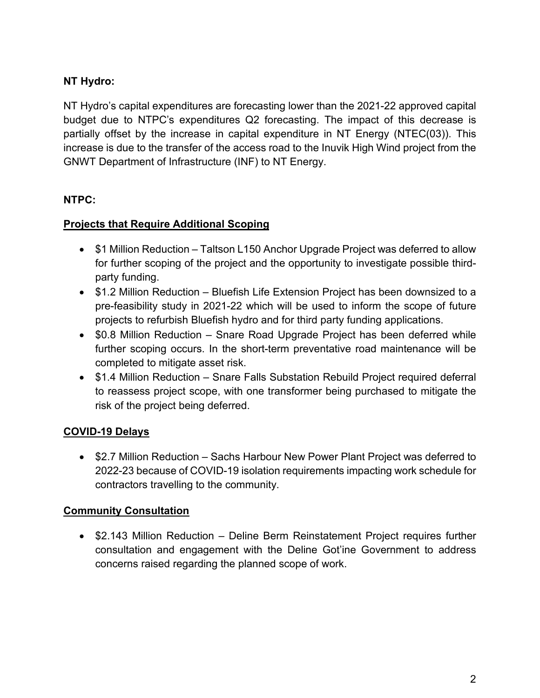# **NT Hydro:**

NT Hydro's capital expenditures are forecasting lower than the 2021-22 approved capital budget due to NTPC's expenditures Q2 forecasting. The impact of this decrease is partially offset by the increase in capital expenditure in NT Energy (NTEC(03)). This increase is due to the transfer of the access road to the Inuvik High Wind project from the GNWT Department of Infrastructure (INF) to NT Energy.

## **NTPC:**

## **Projects that Require Additional Scoping**

- \$1 Million Reduction Taltson L150 Anchor Upgrade Project was deferred to allow for further scoping of the project and the opportunity to investigate possible thirdparty funding.
- \$1.2 Million Reduction Bluefish Life Extension Project has been downsized to a pre-feasibility study in 2021-22 which will be used to inform the scope of future projects to refurbish Bluefish hydro and for third party funding applications.
- \$0.8 Million Reduction Snare Road Upgrade Project has been deferred while further scoping occurs. In the short-term preventative road maintenance will be completed to mitigate asset risk.
- \$1.4 Million Reduction Snare Falls Substation Rebuild Project required deferral to reassess project scope, with one transformer being purchased to mitigate the risk of the project being deferred.

## **COVID-19 Delays**

• \$2.7 Million Reduction – Sachs Harbour New Power Plant Project was deferred to 2022-23 because of COVID-19 isolation requirements impacting work schedule for contractors travelling to the community.

## **Community Consultation**

• \$2.143 Million Reduction – Deline Berm Reinstatement Project requires further consultation and engagement with the Deline Got'ine Government to address concerns raised regarding the planned scope of work.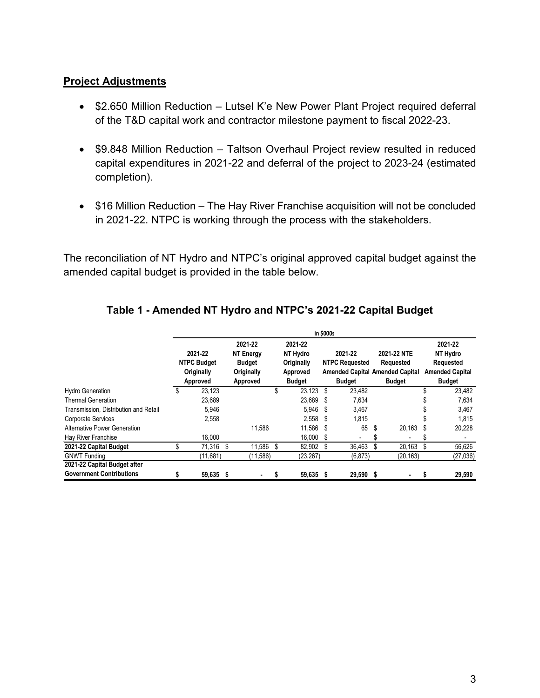#### **Project Adjustments**

- \$2.650 Million Reduction Lutsel K'e New Power Plant Project required deferral of the T&D capital work and contractor milestone payment to fiscal 2022-23.
- \$9.848 Million Reduction Taltson Overhaul Project review resulted in reduced capital expenditures in 2021-22 and deferral of the project to 2023-24 (estimated completion).
- \$16 Million Reduction The Hay River Franchise acquisition will not be concluded in 2021-22. NTPC is working through the process with the stakeholders.

The reconciliation of NT Hydro and NTPC's original approved capital budget against the amended capital budget is provided in the table below.

|                                       | in \$000s                                               |           |   |                                                                        |     |                                                                |     |                                                   |    |                                                                                     |    |                                                                             |  |
|---------------------------------------|---------------------------------------------------------|-----------|---|------------------------------------------------------------------------|-----|----------------------------------------------------------------|-----|---------------------------------------------------|----|-------------------------------------------------------------------------------------|----|-----------------------------------------------------------------------------|--|
|                                       | 2021-22<br><b>NTPC Budget</b><br>Originally<br>Approved |           |   | 2021-22<br><b>NT Energy</b><br><b>Budget</b><br>Originally<br>Approved |     | 2021-22<br>NT Hydro<br>Originally<br>Approved<br><b>Budget</b> |     | 2021-22<br><b>NTPC Requested</b><br><b>Budget</b> |    | 2021-22 NTE<br>Requested<br><b>Amended Capital Amended Capital</b><br><b>Budget</b> |    | 2021-22<br>NT Hydro<br>Requested<br><b>Amended Capital</b><br><b>Budget</b> |  |
| <b>Hydro Generation</b>               | \$                                                      | 23.123    |   |                                                                        | \$  | 23.123                                                         | S   | 23,482                                            |    |                                                                                     |    | 23,482                                                                      |  |
| <b>Thermal Generation</b>             |                                                         | 23,689    |   |                                                                        |     | 23,689                                                         | -S  | 7,634                                             |    |                                                                                     |    | 7,634                                                                       |  |
| Transmission. Distribution and Retail |                                                         | 5,946     |   |                                                                        |     | 5.946                                                          | S   | 3,467                                             |    |                                                                                     |    | 3,467                                                                       |  |
| <b>Corporate Services</b>             |                                                         | 2,558     |   |                                                                        |     | 2,558                                                          | S.  | 1,815                                             |    |                                                                                     |    | 1,815                                                                       |  |
| <b>Alternative Power Generation</b>   |                                                         |           |   | 11.586                                                                 |     | 11,586                                                         | -S  | 65                                                | S  | 20,163                                                                              | S  | 20,228                                                                      |  |
| Hay River Franchise                   |                                                         | 16.000    |   |                                                                        |     | 16.000                                                         | -S  | $\overline{\phantom{a}}$                          | 5. | ٠                                                                                   |    |                                                                             |  |
| 2021-22 Capital Budget                | \$                                                      | 71,316 \$ |   | 11,586                                                                 | -\$ | 82,902                                                         | -\$ | 36,463                                            | \$ | 20,163                                                                              | Ŝ. | 56,626                                                                      |  |
| <b>GNWT Funding</b>                   |                                                         | (11,681)  |   | (11,586)                                                               |     | (23, 267)                                                      |     | (6, 873)                                          |    | (20, 163)                                                                           |    | (27, 036)                                                                   |  |
| 2021-22 Capital Budget after          |                                                         |           |   |                                                                        |     |                                                                |     |                                                   |    |                                                                                     |    |                                                                             |  |
| <b>Government Contributions</b>       | \$                                                      | 59,635    | S | ۰                                                                      | s   | 59,635                                                         | s   | 29,590 \$                                         |    | ٠                                                                                   |    | 29,590                                                                      |  |

#### **Table 1 - Amended NT Hydro and NTPC's 2021-22 Capital Budget**